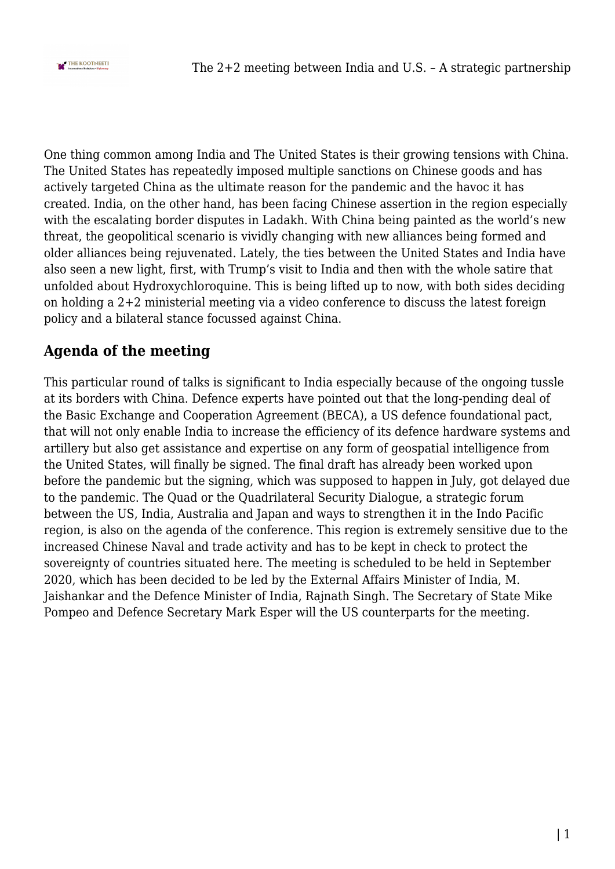

One thing common among India and The United States is their growing tensions with China. The United States has repeatedly imposed multiple sanctions on Chinese goods and has actively targeted China as the ultimate reason for the pandemic and the havoc it has created. India, on the other hand, has been facing Chinese assertion in the region especially with the escalating border disputes in Ladakh. With China being painted as the world's new threat, the geopolitical scenario is vividly changing with new alliances being formed and older alliances being rejuvenated. Lately, the ties between the United States and India have also seen a new light, first, with Trump's visit to India and then with the whole satire that unfolded about Hydroxychloroquine. This is being lifted up to now, with both sides deciding on holding a 2+2 ministerial meeting via a video conference to discuss the latest foreign policy and a bilateral stance focussed against China.

## **Agenda of the meeting**

This particular round of talks is significant to India especially because of the ongoing tussle at its borders with China. Defence experts have pointed out that the long-pending deal of the Basic Exchange and Cooperation Agreement (BECA), a US defence foundational pact, that will not only enable India to increase the efficiency of its defence hardware systems and artillery but also get assistance and expertise on any form of geospatial intelligence from the United States, will finally be signed. The final draft has already been worked upon before the pandemic but the signing, which was supposed to happen in July, got delayed due to the pandemic. The Quad or the Quadrilateral Security Dialogue, a strategic forum between the US, India, Australia and Japan and ways to strengthen it in the Indo Pacific region, is also on the agenda of the conference. This region is extremely sensitive due to the increased Chinese Naval and trade activity and has to be kept in check to protect the sovereignty of countries situated here. The meeting is scheduled to be held in September 2020, which has been decided to be led by the External Affairs Minister of India, M. Jaishankar and the Defence Minister of India, Rajnath Singh. The Secretary of State Mike Pompeo and Defence Secretary Mark Esper will the US counterparts for the meeting.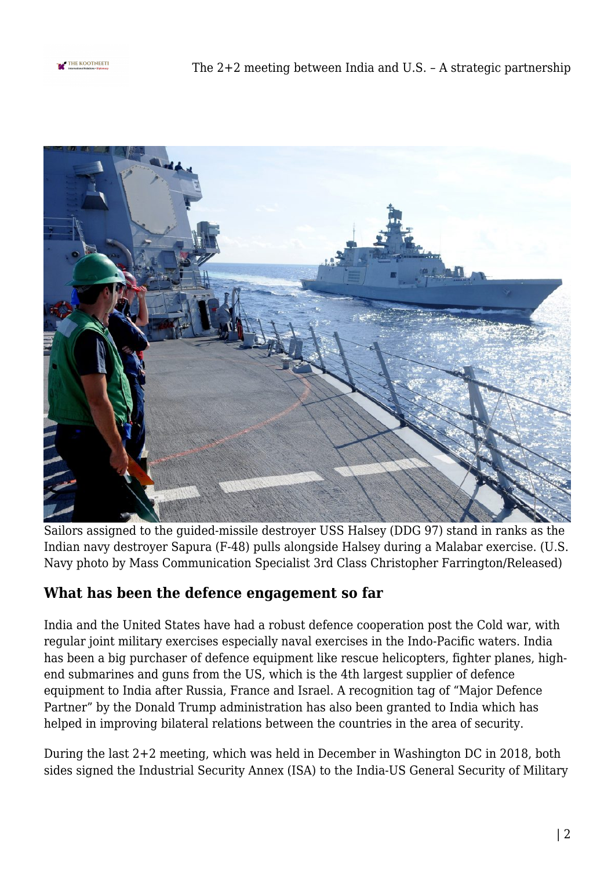



Sailors assigned to the guided-missile destroyer USS Halsey (DDG 97) stand in ranks as the Indian navy destroyer Sapura (F-48) pulls alongside Halsey during a Malabar exercise. (U.S. Navy photo by Mass Communication Specialist 3rd Class Christopher Farrington/Released)

## **What has been the defence engagement so far**

India and the United States have had a robust defence cooperation post the Cold war, with regular joint military exercises especially naval exercises in the Indo-Pacific waters. India has been a big purchaser of defence equipment like rescue helicopters, fighter planes, highend submarines and guns from the US, which is the 4th largest supplier of defence equipment to India after Russia, France and Israel. A recognition tag of "Major Defence Partner" by the Donald Trump administration has also been granted to India which has helped in improving bilateral relations between the countries in the area of security.

During the last 2+2 meeting, which was held in December in Washington DC in 2018, both sides signed the Industrial Security Annex (ISA) to the India-US General Security of Military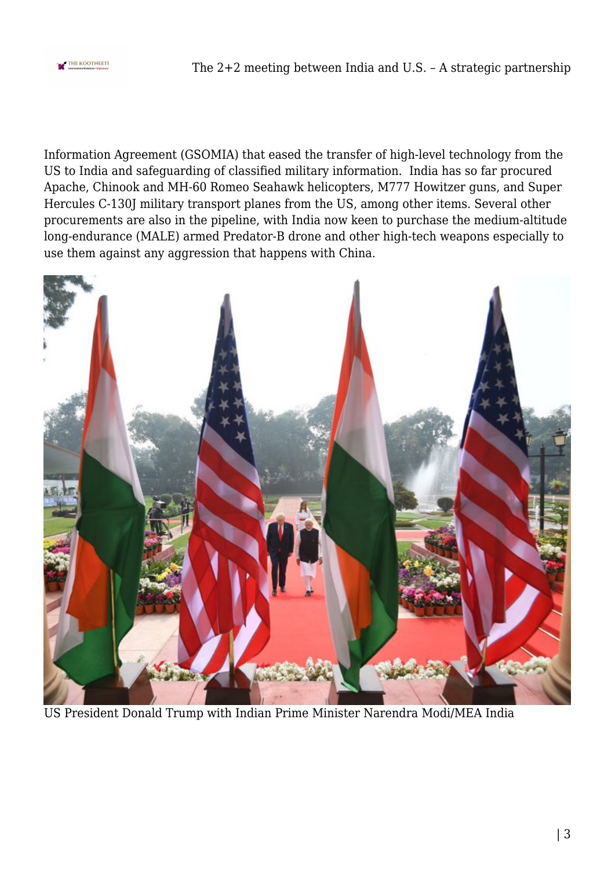

Information Agreement (GSOMIA) that eased the transfer of high-level technology from the US to India and safeguarding of classified military information. India has so far procured Apache, Chinook and MH-60 Romeo Seahawk helicopters, M777 Howitzer guns, and Super Hercules C-130J military transport planes from the US, among other items. Several other procurements are also in the pipeline, with India now keen to purchase the medium-altitude long-endurance (MALE) armed Predator-B drone and other high-tech weapons especially to use them against any aggression that happens with China.



US President Donald Trump with Indian Prime Minister Narendra Modi/MEA India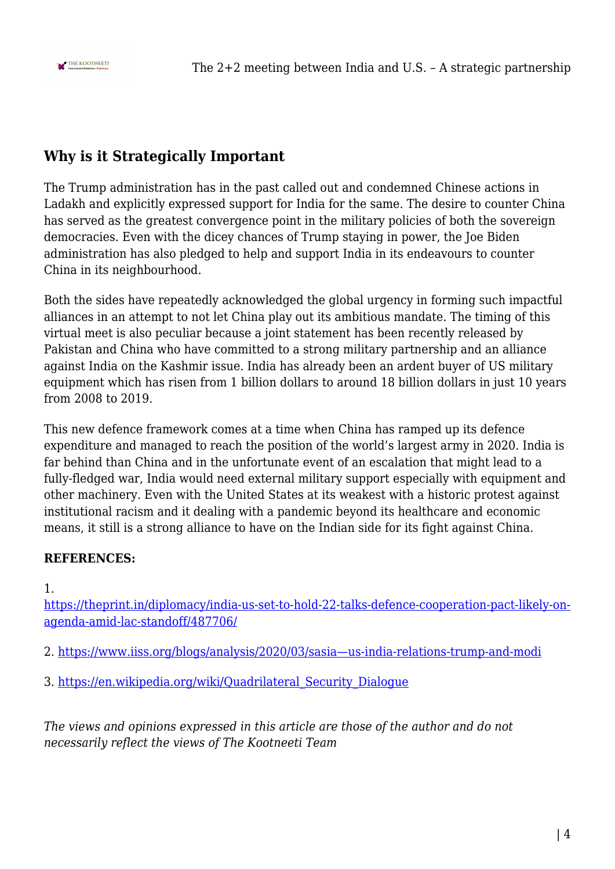

## **Why is it Strategically Important**

The Trump administration has in the past called out and condemned Chinese actions in Ladakh and explicitly expressed support for India for the same. The desire to counter China has served as the greatest convergence point in the military policies of both the sovereign democracies. Even with the dicey chances of Trump staying in power, the Joe Biden administration has also pledged to help and support India in its endeavours to counter China in its neighbourhood.

Both the sides have repeatedly acknowledged the global urgency in forming such impactful alliances in an attempt to not let China play out its ambitious mandate. The timing of this virtual meet is also peculiar because a joint statement has been recently released by Pakistan and China who have committed to a strong military partnership and an alliance against India on the Kashmir issue. India has already been an ardent buyer of US military equipment which has risen from 1 billion dollars to around 18 billion dollars in just 10 years from 2008 to 2019.

This new defence framework comes at a time when China has ramped up its defence expenditure and managed to reach the position of the world's largest army in 2020. India is far behind than China and in the unfortunate event of an escalation that might lead to a fully-fledged war, India would need external military support especially with equipment and other machinery. Even with the United States at its weakest with a historic protest against institutional racism and it dealing with a pandemic beyond its healthcare and economic means, it still is a strong alliance to have on the Indian side for its fight against China.

## **REFERENCES:**

1.

[https://theprint.in/diplomacy/india-us-set-to-hold-22-talks-defence-cooperation-pact-likely-on](https://theprint.in/diplomacy/india-us-set-to-hold-22-talks-defence-cooperation-pact-likely-on-agenda-amid-lac-standoff/487706/)[agenda-amid-lac-standoff/487706/](https://theprint.in/diplomacy/india-us-set-to-hold-22-talks-defence-cooperation-pact-likely-on-agenda-amid-lac-standoff/487706/)

- 2. [https://www.iiss.org/blogs/analysis/2020/03/sasia—us-india-relations-trump-and-modi](https://www.iiss.org/blogs/analysis/2020/03/sasia---us-india-relations-trump-and-modi)
- 3. [https://en.wikipedia.org/wiki/Quadrilateral\\_Security\\_Dialogue](https://en.wikipedia.org/wiki/Quadrilateral_Security_Dialogue)

*The views and opinions expressed in this article are those of the author and do not necessarily reflect the views of The Kootneeti Team*